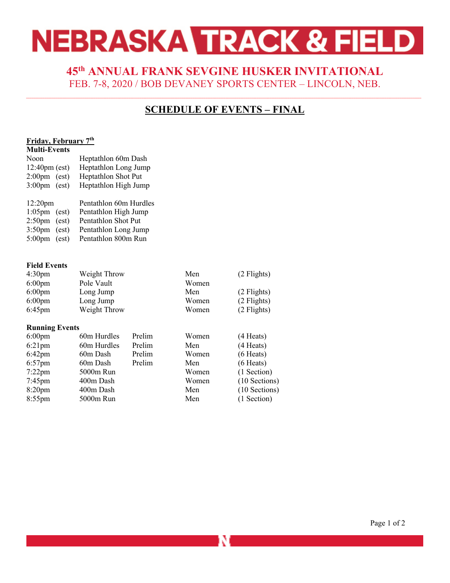# NEBRASKA TRACK & FIELD

### **45th ANNUAL FRANK SEVGINE HUSKER INVITATIONAL** FEB. 7-8, 2020 / BOB DEVANEY SPORTS CENTER – LINCOLN, NEB.

## **SCHEDULE OF EVENTS – FINAL**

### **Friday, February 7th**

| <b>Multi-Events</b>       |                        |
|---------------------------|------------------------|
| Noon                      | Heptathlon 60m Dash    |
| $12:40 \text{pm}$ (est)   | Heptathlon Long Jump   |
| $2:00 \text{pm}$ (est)    | Heptathlon Shot Put    |
| $3:00 \text{pm}$ (est)    | Heptathlon High Jump   |
| $12:20$ pm                | Pentathlon 60m Hurdles |
| $1:05 \text{pm}$ (est)    | Pentathlon High Jump   |
| $2:50 \text{pm}$ (est)    | Pentathlon Shot Put    |
| $3:50 \text{pm}$ (est)    | Pentathlon Long Jump   |
| $5:00 \text{pm}$<br>(est) | Pentathlon 800m Run    |
|                           |                        |

#### **Field Events**

| 4:30 <sub>pm</sub> | Weight Throw | Men   | (2 Flights) |
|--------------------|--------------|-------|-------------|
| $6:00 \text{pm}$   | Pole Vault   | Women |             |
| $6:00 \text{pm}$   | Long Jump    | Men   | (2 Flights) |
| $6:00 \text{pm}$   | Long Jump    | Women | (2 Flights) |
| $6:45$ pm          | Weight Throw | Women | (2 Flights) |

#### **Running Events**

| $6:00 \text{pm}$   | 60m Hurdles | Prelim | Women | (4 Heats)     |
|--------------------|-------------|--------|-------|---------------|
| $6:21$ pm          | 60m Hurdles | Prelim | Men   | (4 Heats)     |
| $6:42 \text{pm}$   | 60m Dash    | Prelim | Women | $(6$ Heats)   |
| $6:57$ pm          | 60m Dash    | Prelim | Men   | $(6$ Heats)   |
| $7:22$ pm          | 5000m Run   |        | Women | (1 Section)   |
| $7:45$ pm          | 400m Dash   |        | Women | (10 Sections) |
| 8:20 <sub>pm</sub> | 400m Dash   |        | Men   | (10 Sections) |
| $8:55$ pm          | 5000m Run   |        | Men   | (1 Section)   |